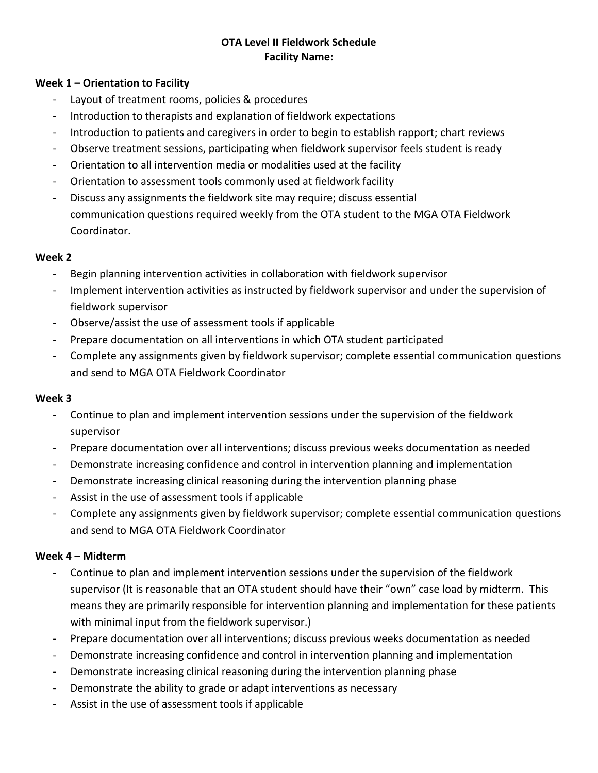# **OTA Level II Fieldwork Schedule Facility Name:**

#### **Week 1 – Orientation to Facility**

- Layout of treatment rooms, policies & procedures
- Introduction to therapists and explanation of fieldwork expectations
- Introduction to patients and caregivers in order to begin to establish rapport; chart reviews
- Observe treatment sessions, participating when fieldwork supervisor feels student is ready
- Orientation to all intervention media or modalities used at the facility
- Orientation to assessment tools commonly used at fieldwork facility
- Discuss any assignments the fieldwork site may require; discuss essential communication questions required weekly from the OTA student to the MGA OTA Fieldwork Coordinator.

## **Week 2**

- Begin planning intervention activities in collaboration with fieldwork supervisor
- Implement intervention activities as instructed by fieldwork supervisor and under the supervision of fieldwork supervisor
- Observe/assist the use of assessment tools if applicable
- Prepare documentation on all interventions in which OTA student participated
- Complete any assignments given by fieldwork supervisor; complete essential communication questions and send to MGA OTA Fieldwork Coordinator

## **Week 3**

- Continue to plan and implement intervention sessions under the supervision of the fieldwork supervisor
- Prepare documentation over all interventions; discuss previous weeks documentation as needed
- Demonstrate increasing confidence and control in intervention planning and implementation
- Demonstrate increasing clinical reasoning during the intervention planning phase
- Assist in the use of assessment tools if applicable
- Complete any assignments given by fieldwork supervisor; complete essential communication questions and send to MGA OTA Fieldwork Coordinator

## **Week 4 – Midterm**

- Continue to plan and implement intervention sessions under the supervision of the fieldwork supervisor (It is reasonable that an OTA student should have their "own" case load by midterm. This means they are primarily responsible for intervention planning and implementation for these patients with minimal input from the fieldwork supervisor.)
- Prepare documentation over all interventions; discuss previous weeks documentation as needed
- Demonstrate increasing confidence and control in intervention planning and implementation
- Demonstrate increasing clinical reasoning during the intervention planning phase
- Demonstrate the ability to grade or adapt interventions as necessary
- Assist in the use of assessment tools if applicable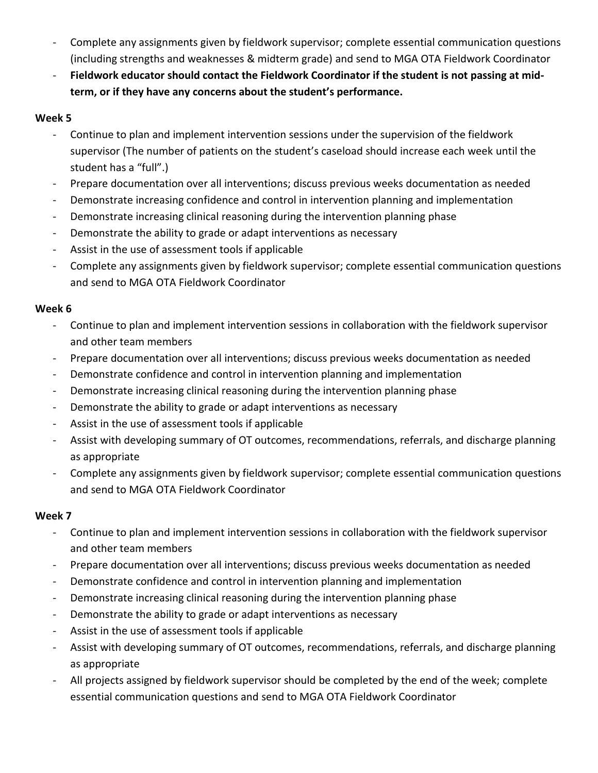- Complete any assignments given by fieldwork supervisor; complete essential communication questions (including strengths and weaknesses & midterm grade) and send to MGA OTA Fieldwork Coordinator
- **Fieldwork educator should contact the Fieldwork Coordinator if the student is not passing at midterm, or if they have any concerns about the student's performance.**

## **Week 5**

- Continue to plan and implement intervention sessions under the supervision of the fieldwork supervisor (The number of patients on the student's caseload should increase each week until the student has a "full".)
- Prepare documentation over all interventions; discuss previous weeks documentation as needed
- Demonstrate increasing confidence and control in intervention planning and implementation
- Demonstrate increasing clinical reasoning during the intervention planning phase
- Demonstrate the ability to grade or adapt interventions as necessary
- Assist in the use of assessment tools if applicable
- Complete any assignments given by fieldwork supervisor; complete essential communication questions and send to MGA OTA Fieldwork Coordinator

## **Week 6**

- Continue to plan and implement intervention sessions in collaboration with the fieldwork supervisor and other team members
- Prepare documentation over all interventions; discuss previous weeks documentation as needed
- Demonstrate confidence and control in intervention planning and implementation
- Demonstrate increasing clinical reasoning during the intervention planning phase
- Demonstrate the ability to grade or adapt interventions as necessary
- Assist in the use of assessment tools if applicable
- Assist with developing summary of OT outcomes, recommendations, referrals, and discharge planning as appropriate
- Complete any assignments given by fieldwork supervisor; complete essential communication questions and send to MGA OTA Fieldwork Coordinator

## **Week 7**

- Continue to plan and implement intervention sessions in collaboration with the fieldwork supervisor and other team members
- Prepare documentation over all interventions; discuss previous weeks documentation as needed
- Demonstrate confidence and control in intervention planning and implementation
- Demonstrate increasing clinical reasoning during the intervention planning phase
- Demonstrate the ability to grade or adapt interventions as necessary
- Assist in the use of assessment tools if applicable
- Assist with developing summary of OT outcomes, recommendations, referrals, and discharge planning as appropriate
- All projects assigned by fieldwork supervisor should be completed by the end of the week; complete essential communication questions and send to MGA OTA Fieldwork Coordinator